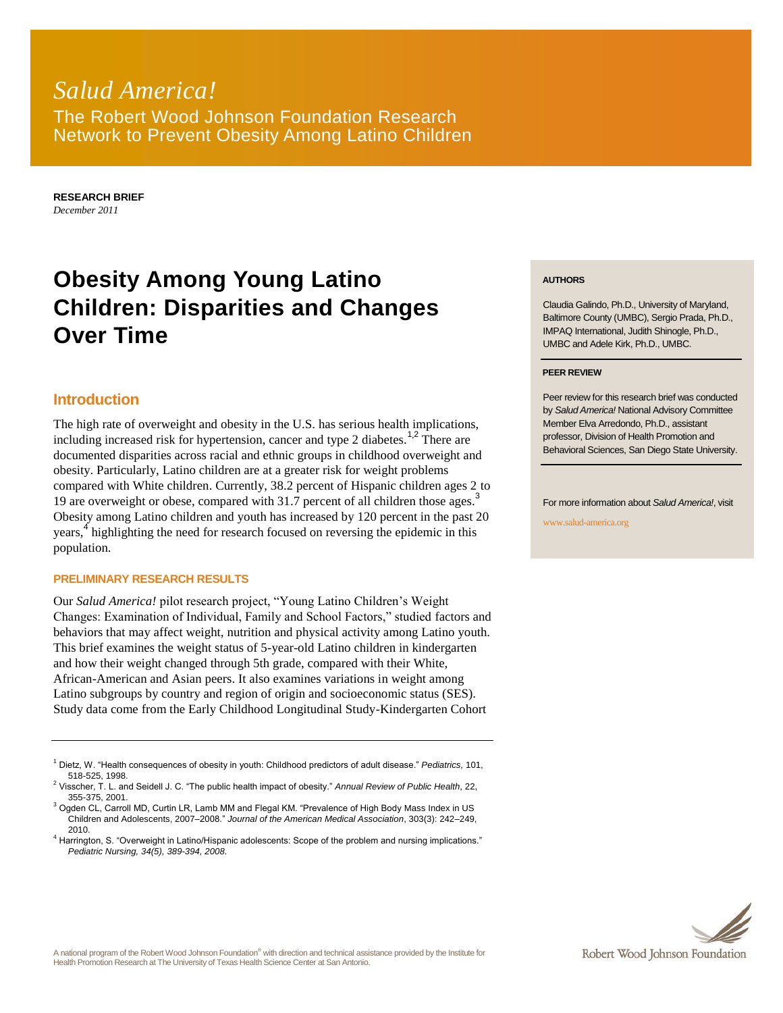## *Salud America!* The Robert Wood Johnson Foundation Research Network to Prevent Obesity Among Latino Children

**RESEARCH BRIEF** *December 2011*

# **Obesity Among Young Latino Children: Disparities and Changes Over Time**

## **Introduction**

The high rate of overweight and obesity in the U.S. has serious health implications, including increased risk for hypertension, cancer and type 2 diabetes.<sup>1,2</sup> There are documented disparities across racial and ethnic groups in childhood overweight and obesity. Particularly, Latino children are at a greater risk for weight problems compared with White children. Currently, 38.2 percent of Hispanic children ages 2 to 19 are overweight or obese, compared with 31.7 percent of all children those ages.<sup>3</sup> Obesity among Latino children and youth has increased by 120 percent in the past 20 years,<sup>4</sup> highlighting the need for research focused on reversing the epidemic in this population.

#### **PRELIMINARY RESEARCH RESULTS**

Our *Salud America!* pilot research project, "Young Latino Children's Weight Changes: Examination of Individual, Family and School Factors," studied factors and behaviors that may affect weight, nutrition and physical activity among Latino youth. This brief examines the weight status of 5-year-old Latino children in kindergarten and how their weight changed through 5th grade, compared with their White, African-American and Asian peers. It also examines variations in weight among Latino subgroups by country and region of origin and socioeconomic status (SES). Study data come from the Early Childhood Longitudinal Study-Kindergarten Cohort

#### **AUTHORS**

Claudia Galindo, Ph.D., University of Maryland, Baltimore County (UMBC), Sergio Prada, Ph.D., IMPAQ International, Judith Shinogle, Ph.D., UMBC and Adele Kirk, Ph.D., UMBC.

#### **PEER REVIEW**

Peer review for this research brief was conducted by *Salud America!* National Advisory Committee Member Elva Arredondo, Ph.D., assistant professor, Division of Health Promotion and Behavioral Sciences, San Diego State University.

For more information about *Salud America!*, visit

www.salud-america.org



<sup>1</sup> Dietz, W. "Health consequences of obesity in youth: Childhood predictors of adult disease." *Pediatrics,* 101, 518-525, 1998.

<sup>2</sup> Visscher, T. L. and Seidell J. C. "The public health impact of obesity." *Annual Review of Public Health*, 22, 355-375, 2001.

<sup>&</sup>lt;sup>3</sup> Ogden CL, Carroll MD, Curtin LR, Lamb MM and Flegal KM. "Prevalence of High Body Mass Index in US Children and Adolescents, 2007–2008." *Journal of the American Medical Association*, 303(3): 242–249, 2010.

<sup>4</sup> Harrington, S. "Overweight in Latino/Hispanic adolescents: Scope of the problem and nursing implications." *Pediatric Nursing, 34(5), 389-394, 2008.*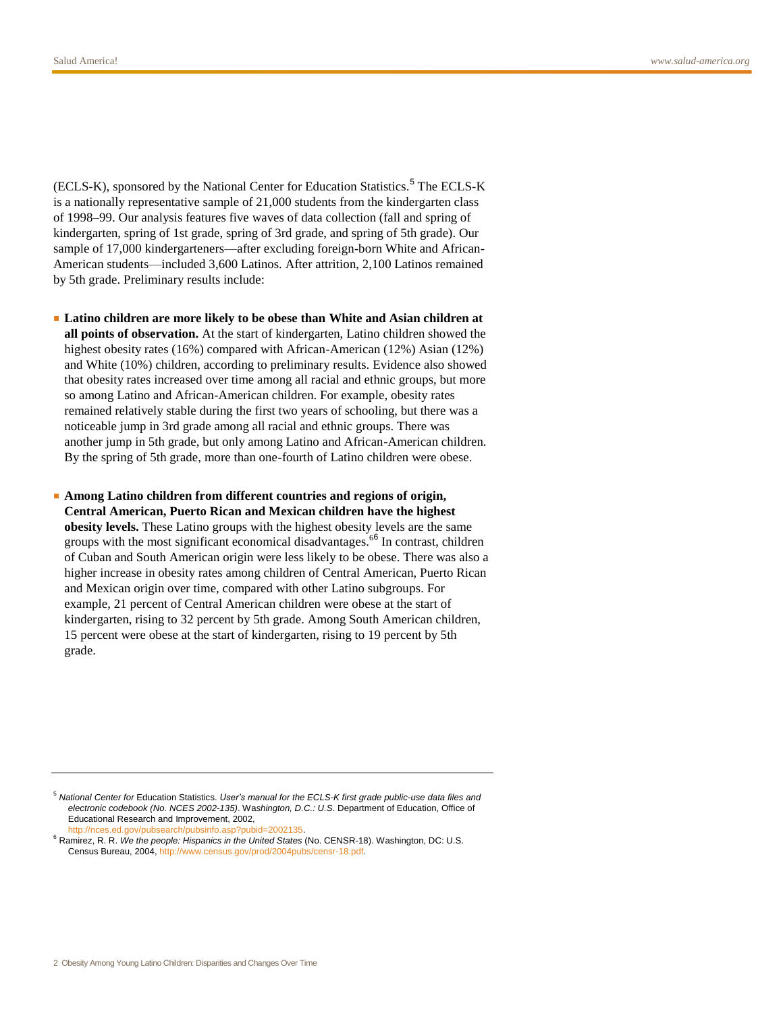(ECLS-K), sponsored by the National Center for Education Statistics.<sup>5</sup> The ECLS-K is a nationally representative sample of 21,000 students from the kindergarten class of 1998–99. Our analysis features five waves of data collection (fall and spring of kindergarten, spring of 1st grade, spring of 3rd grade, and spring of 5th grade). Our sample of 17,000 kindergarteners—after excluding foreign-born White and African-American students—included 3,600 Latinos. After attrition, 2,100 Latinos remained by 5th grade. Preliminary results include:

■ **Latino children are more likely to be obese than White and Asian children at all points of observation.** At the start of kindergarten, Latino children showed the highest obesity rates (16%) compared with African-American (12%) Asian (12%) and White (10%) children, according to preliminary results. Evidence also showed that obesity rates increased over time among all racial and ethnic groups, but more so among Latino and African-American children. For example, obesity rates remained relatively stable during the first two years of schooling, but there was a noticeable jump in 3rd grade among all racial and ethnic groups. There was another jump in 5th grade, but only among Latino and African-American children. By the spring of 5th grade, more than one-fourth of Latino children were obese.

■ **Among Latino children from different countries and regions of origin, Central American, Puerto Rican and Mexican children have the highest obesity levels.** These Latino groups with the highest obesity levels are the same groups with the most significant economical disadvantages.<sup>66</sup> In contrast, children of Cuban and South American origin were less likely to be obese. There was also a higher increase in obesity rates among children of Central American, Puerto Rican and Mexican origin over time, compared with other Latino subgroups. For example, 21 percent of Central American children were obese at the start of kindergarten, rising to 32 percent by 5th grade. Among South American children, 15 percent were obese at the start of kindergarten, rising to 19 percent by 5th grade.

<sup>6</sup> Ramirez, R. R. *We the people: Hispanics in the United States* (No. CENSR-18). Washington, DC: U.S. Census Bureau, 2004, [http://www.census.gov/prod/2004pubs/censr-18.pdf.](http://www.census.gov/prod/2004pubs/censr-18.pdf)

<sup>5</sup> *National Center for* Education Statistics. *User's manual for the ECLS-K first grade public-use data files and electronic codebook (No. NCES 2002-135)*. Wa*shington, D.C.: U.S*. Department of Education, Office of Educational Research and Improvement, 2002, [http://nces.ed.gov/pubsearch/pubsinfo.asp?pubid=2002135.](http://nces.ed.gov/pubsearch/pubsinfo.asp?pubid=2002135)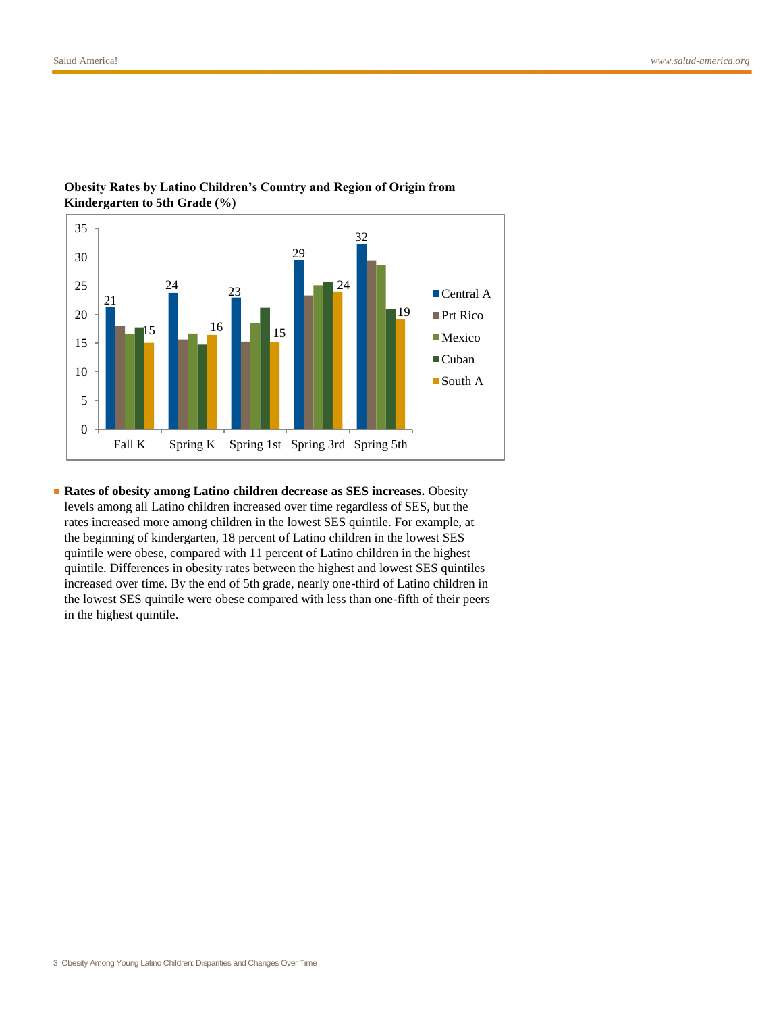

### **Obesity Rates by Latino Children's Country and Region of Origin from Kindergarten to 5th Grade (%)**

■ **Rates of obesity among Latino children decrease as SES increases.** Obesity levels among all Latino children increased over time regardless of SES, but the rates increased more among children in the lowest SES quintile. For example, at the beginning of kindergarten, 18 percent of Latino children in the lowest SES quintile were obese, compared with 11 percent of Latino children in the highest quintile. Differences in obesity rates between the highest and lowest SES quintiles increased over time. By the end of 5th grade, nearly one-third of Latino children in the lowest SES quintile were obese compared with less than one-fifth of their peers in the highest quintile.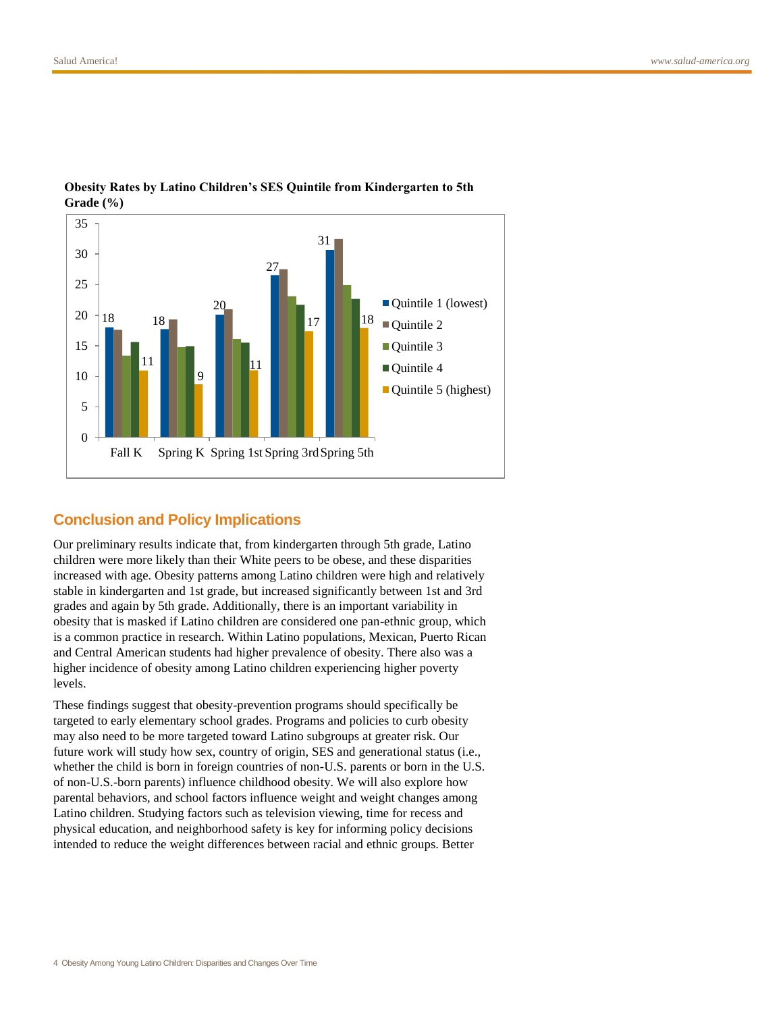

#### **Obesity Rates by Latino Children's SES Quintile from Kindergarten to 5th Grade (%)**

## **Conclusion and Policy Implications**

Our preliminary results indicate that, from kindergarten through 5th grade, Latino children were more likely than their White peers to be obese, and these disparities increased with age. Obesity patterns among Latino children were high and relatively stable in kindergarten and 1st grade, but increased significantly between 1st and 3rd grades and again by 5th grade. Additionally, there is an important variability in obesity that is masked if Latino children are considered one pan-ethnic group, which is a common practice in research. Within Latino populations, Mexican, Puerto Rican and Central American students had higher prevalence of obesity. There also was a higher incidence of obesity among Latino children experiencing higher poverty levels.

These findings suggest that obesity-prevention programs should specifically be targeted to early elementary school grades. Programs and policies to curb obesity may also need to be more targeted toward Latino subgroups at greater risk. Our future work will study how sex, country of origin, SES and generational status (i.e., whether the child is born in foreign countries of non-U.S. parents or born in the U.S. of non-U.S.-born parents) influence childhood obesity. We will also explore how parental behaviors, and school factors influence weight and weight changes among Latino children. Studying factors such as television viewing, time for recess and physical education, and neighborhood safety is key for informing policy decisions intended to reduce the weight differences between racial and ethnic groups. Better